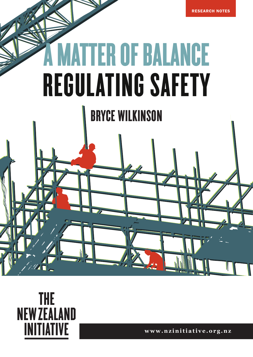

# **MATTER OF BALANCE** REGULATING SAFETY

BRYCE WILKINSON



 $\mathscr{A}$ 

**www.nzinitiative.org.nz**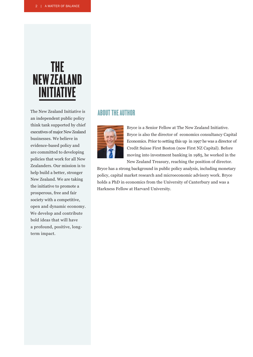## **THE NEW ZEALAND INITIATIVE**

The New Zealand Initiative is an independent public policy think tank supported by chief executives of major New Zealand businesses. We believe in evidence-based policy and are committed to developing policies that work for all New Zealanders. Our mission is to help build a better, stronger New Zealand. We are taking the initiative to promote a prosperous, free and fair society with a competitive, open and dynamic economy. We develop and contribute bold ideas that will have a profound, positive, longterm impact.

#### ABOUT THE AUTHOR



Bryce is a Senior Fellow at The New Zealand Initiative. Bryce is also the director of economics consultancy Capital Economics. Prior to setting this up in 1997 he was a director of Credit Suisse First Boston (now First NZ Capital). Before moving into investment banking in 1985, he worked in the New Zealand Treasury, reaching the position of director.

Bryce has a strong background in public policy analysis, including monetary policy, capital market research and microeconomic advisory work. Bryce holds a PhD in economics from the University of Canterbury and was a Harkness Fellow at Harvard University.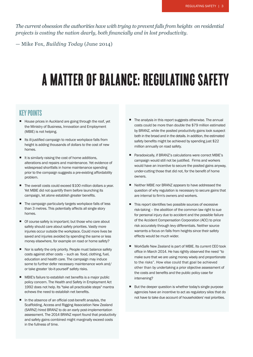*The current obsession the authorities have with trying to prevent falls from heights on residential projects is costing the nation dearly, both financially and in lost productivity.*

— Mike Fox, *Building Today* (June 2014)

## A MATTER OF BALANCE: REGULATING SAFETY

#### KEY POINTS

- House prices in Auckland are going through the roof, yet the Ministry of Business, Innovation and Employment (MBIE) is not helping.
- Its ill-justified campaign to reduce workplace falls from height is adding thousands of dollars to the cost of new homes.
- $\blacksquare$  It is similarly raising the cost of home additions, alterations and repairs and maintenance. Yet evidence of widespread shortfalls in home maintenance spending prior to the compaign suggests a pre-existing affordability problem.
- The overall costs could exceed \$100 million dollars a year. Yet MBIE did not quantify them before launching its campaign, let alone establish greater benefits.
- The campaign particularly targets workplace falls of less than 3 metres. This potentially affects all single story homes.
- Of course safety is important: but those who care about safety should care about safety priorities. Vastly more injuries occur outside the workplace. Could more lives be saved and injuries avoided by spending the same or less money elsewhere, for example on road or home safety?
- Nor is safety the only priority. People must balance safety costs against other costs – such as food, clothing, fuel, education and health care. The campaign may induce some to further defer necessary maintenance work and/ or take greater 'do-it-yourself' safety risks.
- MBIE's failure to establish net benefits is a major public policy concern. The Health and Safety in Employment Act 1992 does not help. Its "take all practicable steps" mantra echews the need to establish net benefits.
- $\blacksquare$  In the absence of an official cost-benefit anaylsis, the Scaffolding, Access and Rigging Association New Zealand (SARNZ) hired BRANZ to do an early post-implementation assessment. The 2014 BRANZ report found that productivity and safety gains combined might marginally exceed costs in the fullness of time.
- The analysis in this report suggests otherwise. The annual costs could be more than double the \$79 million estimated by BRANZ, while the posited productivity gains look suspect both in the broad and in the details. In addition, the estimated safety benefits might be achieved by spending just \$22 million annually on road safety.
- Paradoxically, if BRANZ's calculations were correct MBIE's campaign would still not be justified. Firms and workers would have an incentive to secure the posited gains anyway, under-cutting those that did not, for the benefit of home owners.
- Neither MBIE nor BRANZ appears to have addressed the question of why regulation is necessary to secure gains that are internal to firm's owners and workers.
- This report identifies two possible sources of excessive risk-taking – the abolition of the common law right to sue for personal injury due to accident and the possible failure of the Accident Compensation Corporation (ACC) to price risk accurately through levy differentials. Neither source warrants a focus on falls from heights since their safety effects would be much wider.
- WorkSafe New Zealand is part of MBIE. Its current CEO took office in March 2014. He has rightly observed the need "to make sure that we are using money wisely and proportionate to the risks". How else could that goal be achieved other than by undertaking a prior objective assessment of the costs and benefits and the public policy case for intervening?
- But the deeper question is whether today's single purpose agencies have an incentive to act as regulatory silos that do not have to take due account of householders' real priorities.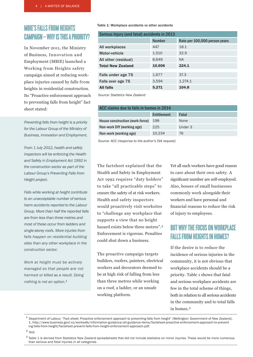#### MBIE'S FALLS FROM HEIGHTS CAMPAIGN – WHY IS THIS A PRIORITY?

In November 2011, the Ministry of Business, Innovation and Employment (MBIE) launched a Working from Heights safety campaign aimed at reducing workplace injuries caused by falls from heights in residential construction. Its "Proactive enforcement approach to preventing falls from height" fact sheet stated:

*Preventing falls from height is a priority for the Labour Group of the Ministry of Business, Innovation and Employment.* 

*From 1 July 2012, health and safety inspectors will be enforcing the Health and Safety in Employment Act 1992 in the construction sector as part of the Labour Group's Preventing Falls from Height project.* 

*Falls while working at height contribute to an unacceptable number of serious harm accidents reported to the Labour Group. More than half the reported falls are from less than three metres and most of these occur from ladders and single-storey roofs. More injuries from falls happen on residential building sites than any other workplace in the construction sector.*

*Work at height must be actively managed so that people are not harmed or killed as a result. Doing nothing is not an option.*1

#### Table 1: Workplace accidents vs other accidents

| Serious Injury (and fatal) accidents in 2013 |               |                               |  |
|----------------------------------------------|---------------|-------------------------------|--|
|                                              | <b>Number</b> | Rate per 100,000 person years |  |
| All workplaces                               | 447           | 18.1                          |  |
| Motor-vehicle                                | 1,510         | 32.9                          |  |
| All other (residual)                         | 8,649         | <b>NA</b>                     |  |
| <b>Total New Zealand</b>                     | 10,606        | 224.1                         |  |
|                                              |               |                               |  |
| Falls under age 75                           | 1,677         | 37.3                          |  |
| Falls over age 75                            | 3,594         | 1,274.1                       |  |
| <b>All falls</b>                             | 5,271         | 104.8                         |  |

 *Source: Statistics New Zealand*

| ACC claims due to falls in homes in 2014 |             |         |  |
|------------------------------------------|-------------|---------|--|
|                                          | Entitlement | Fatal   |  |
| House construction (work-force)          | 198         | None    |  |
| Non-work DIY (working age)               | 225         | Under 3 |  |
| Non-work (working age)                   | 10,234      | 76      |  |

 *Source: ACC (response to the author's OIA request)*

The factsheet explained that the Health and Safety in Employment Act 1992 requires "duty holders" to take "all practicable steps" to ensure the safety of at risk workers. Health and safety inspectors would proactively visit worksites to "challenge any workplace that supports a view that no height hazard exists below three metres".2 Enforcement is vigorous. Penalties could shut down a business.

The proactive campaign targets builders, roofers, painters, electrical workers and decorators deemed to be at high risk of falling from less than three metres while working on a roof, a ladder, or an unsafe working platform.

Yet all such workers have good reason to care about their own safety. A significant number are self-employed. Also, bosses of small businesses commonly work alongside their workers and have personal and financial reasons to reduce the risk of injury to employees.

#### BUT WHY THE FOCUS ON WORKPLACE FALLS FROM HEIGHTS IN HOMES?

If the desire is to reduce the incidence of serious injuries in the community, it is not obvious that workplace accidents should be a priority. Table 1 shows that fatal and serious workplace accidents are few in the total scheme of things, both in relation to all serious accidents in the community and to total falls in homes.3

<sup>&</sup>lt;sup>1</sup> Department of Labour, "Fact sheet: Proactive enforcement approach to preventing falls from height" (Wellington: Government of New Zealand), 1, http://www.business.govt.nz/worksafe/information-guidance/all-guidance-items/factsheet-proactive-enforcement-approach-to-prevent ing-falls-from-height/factsheet-prevent-falls-from-height-enforcement-approach.pdf.

 $2$  Ibid.

<sup>&</sup>lt;sup>3</sup> Table 1 is derived from Statistics New Zealand spreadsheets that did not include statistics on minor injuries. These would be more numerous than serious and fatal injuries in all categories.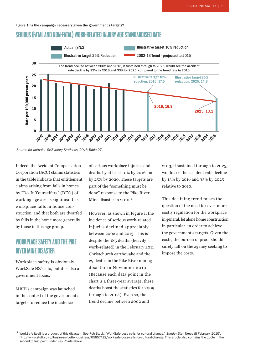Figure 1: Is the campaign necessary given the government's targets?

#### SERIOUS (FATAL AND NON-FATAL) WORK-RELATED INJURY AGE STANDARDISED RATE



 *Source for actuals: SNZ Injury Statistics, 2013 Table 27*

Indeed, the Accident Compensation Corporation (ACC) claims statistics in the table indicate that entitlement claims arising from falls in homes by "Do-It-Yourselfers" (DIYs) of working age are as significant as workplace falls in house construction, and that both are dwarfed by falls in the home more generally by those in this age group.

#### WORKPLACE SAFETY AND THE PIKE RIVER MINE DISASTER

Workplace safety is obviously WorkSafe NZ's silo, but it is also a government focus.

MBIE's campaign was launched in the context of the government's targets to reduce the incidence

of serious workplace injuries and deaths by at least 10% by 2016 and by 25% by 2020. These targets are part of the "something must be done" response to the Pike River Mine disaster in 2010.4

However, as shown in Figure 1, the incidence of serious work-related injuries declined appreciably between 2002 and 2013. This is despite the 185 deaths (heavily work-related) in the February 2011 Christchurch earthquake and the 29 deaths in the Pike River mining disaster in November 2010. (Because each data point in the chart is a three-year average, these deaths boost the statistics for 2009 through to 2012.) Even so, the trend decline between 2002 and

2013, if sustained through to 2025, would see the accident rate decline by 13% by 2016 and 33% by 2025 relative to 2010.

This declining trend raises the question of the need for ever-more costly regulation for the workplace in general, let alone home construction in particular, in order to achieve the government's targets. Given the costs, the burden of proof should surely fall on the agency seeking to impose the costs.

<sup>4</sup> WorkSafe itself is a product of this disaster. See Rob Stock, "WorkSafe boss calls for cultural change," *Sunday Star Times* (8 February 2015), http://www.stuff.co.nz/business/better-business/65857412/worksafe-boss-calls-for-cultural-change. This article also contains the quote in the second to last point under Key Points above.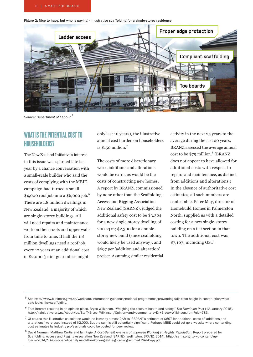6 | A MATTER OF BALANCE

Figure 2: Nice to have, but who is paying – Illustrative scaffolding for a single-storey residence



*Source: Department of Labour* 5

#### WHAT IS THE POTENTIAL COST TO HOUSEHOLDERS?

The New Zealand Initiative's interest in this issue was sparked late last year by a chance conversation with a small-scale builder who said the costs of complying with the MBIE campaign had turned a small  $$4,000$  roof job into a \$6,000 job.<sup>6</sup> There are 1.8 million dwellings in New Zealand, a majority of which are single-storey buildings. All will need repairs and maintenance work on their roofs and upper walls from time to time. If half the 1.8 million dwellings need a roof job every 12 years at an additional cost of \$2,000 (paint guarantees might

only last 10 years), the illustrative annual cost burden on householders is  $$150$  million.<sup>7</sup>

The costs of more discretionary work, additions and alterations would be extra, as would be the costs of constructing new homes. A report by BRANZ, commissioned by none other than the Scaffolding, Access and Rigging Association New Zealand (SARNZ), judged the additional safety cost to be \$3,304 for a new single-storey dwelling of 200 sq m; \$2,300 for a doublestorey new build (since scaffolding would likely be used anyway); and \$697 per 'addition and alteration' project. Assuming similar residential activity in the next 25 years to the average during the last 20 years, BRANZ assessed the average annual  $cost to be $79$  million.<sup>8</sup> (BRANZ does not appear to have allowed for additional costs with respect to repairs and maintenance, as distinct from additions and alterations.) In the absence of authoritative cost estimates, all such numbers are contestable. Peter May, director of Homebuild Homes in Palmerston North, supplied us with a detailed costing for a new single-storey building on a flat section in that town. The additional cost was \$7,107, including GST.

<sup>5</sup> See http://www.business.govt.nz/worksafe/information-guidance/national-programmes/preventing-falls-from-height-in-construction/what safe-looks-like/scaffolding.

<sup>6</sup> That interest resulted in an opinion piece. Bryce Wilkinson, "Weighing the costs of health and safety," *The Dominion Post* (12 January 2015). http://nzinitiative.org.nz/About+Us/Staff/Bryce\_Wilkinson/Opinion+and+commentary+Dr+Bryce+Wilkinson.html?uid=783.

 $7$  Of course this illustrative calculation would be lower by almost 2/3rds if BRANZ's estimate of \$697 for additional costs of 'additions and alterations" were used instead of \$2,000. But the sum is still potentially significant. Perhaps MBIE could set up a website where contending cost estimates by industry professionals could be posted for peer review.

<sup>8</sup> David Norman, Matthew Curtis and Ian Page, *A Cost-Benefit Analysis of Improved Working at Heights Regulation*, Report prepared for Scaffolding, Access and Rigging Association New Zealand (SARNZ) (Wellington: BRANZ, 2014), http://sarnz.org.nz/wp-content/up loads/2014/10/Cost-benefit-analysis-of-the-Working-at-Heights-Programme-FINAL-Copy.pdf.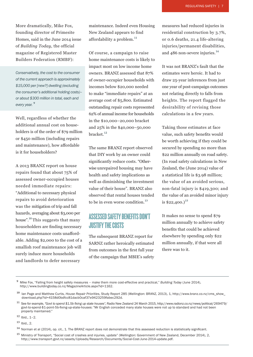More dramatically, Mike Fox, founding director of Primesite Homes, said in the June 2014 issue of *Building Today*, the official magazine of Registered Master Builders Federation (RMBF):

*Conservatively, the cost to the consumer of the current approach is approximately \$15,000 per [new?] dwelling (excluding the consumer's additional holding costs)– or about \$300 million in total, each and every year.* 9

Well, regardless of whether the additional annual cost on householders is of the order of \$79 million or \$450 million (including repairs and maintenance), how affordable is it for householders?

A 2013 BRANZ report on house repairs found that about 75% of assessed owner-occupied houses needed immediate repairs: "Additional to necessary physical repairs to avoid deterioration was the mitigation of trip and fall hazards, averaging about \$3,000 per house".10 This suggests that many householders are finding necessary home maintenance costs unaffordable. Adding \$2,000 to the cost of a smallish roof maintenance job will surely induce more households and landlords to defer necessary

maintenance. Indeed even Housing New Zealand appears to find affordability a problem. $^{11}$ 

Of course, a campaign to raise home maintenance costs is likely to impact most on low income home owners. BRANZ assessed that 87% of owner-occupier households with incomes below \$20,000 needed to make "immediate repairs" at an average cost of \$5,800. Estimated outstanding repair costs represented 62% of annual income for households in the \$10,000–20,000 bracket and 25% in the \$40,000–50,000 bracket.<sup>12</sup>

The same BRANZ report observed that DIY work by an owner could significantly reduce costs. "Otherwise unrepaired housing may have health and safety implications as well as diminishing the investment value of their house". BRANZ also observed that rental houses tended to be in even worse condition.<sup>13</sup>

#### ASSESSED SAFETY BENEFITS DON'T JUSTIFY THE COSTS

The subsequent BRANZ report for SARNZ rather heroically estimated from outcomes in the first full year of the campaign that MBIE's safety measures had reduced injuries in residential construction by 3.7%, or 0.6 deaths, 21.4 life-altering injuries/permanent disabilities, and 486 non-severe injuries.<sup>14</sup>

It was not BRANZ's fault that the estimates were heroic. It had to draw 25-year inferences from just one year of post-campaign outcomes not relating directly to falls from heights. The report flagged the desirability of revising those calculations in a few years.

Taking those estimates at face value, such safety benefits would be worth achieving if they could be secured by spending no more than \$22 million annually on road safety. (In road safety calculations in New Zealand, the (June 2014) value of a statistical life is \$3.98 million; the value of an avoided serious, non-fatal injury is \$419,300; and the value of an avoided minor injury is  $$22,400.$ <sup>15</sup>

It makes no sense to spend \$79 million annually to achieve safety benefits that could be achieved elsewhere by spending only \$22 million annually, if that were all there was to it.

<sup>9</sup> Mike Fox, "Falling from height safety measures – make them more cost-effective and practical," *Building Today* (June 2014), http://www.buildingtoday.co.nz/MagazineArticle.aspx?id=1162.

<sup>10</sup> Ian Page and Matthew Curtis, *House Repair Priorities*, Study Report 285 (Wellington: BRANZ, 2013), 1, http://www.branz.co.nz/cms\_show\_ download.php?id=4158d0bdfcc81dacb0caf37e9423259fabec292d.

<sup>11</sup> See for example, *"Govt to spend \$1.5b fixing up state houses"*, Radio New Zealand 24 March 2015, http://www.radionz.co.nz/news/political/269479/ govt-to-spend-\$1-point-5b-fixing-up-state-houses: "Mr English conceded many state houses were not up to standard and had not been properly maintained."

<sup>12</sup> Ibid., 1–2.

<sup>13</sup> Ibid., 2.

<sup>&</sup>lt;sup>14</sup> Norman et al (2014), op. cit., 1. The BRANZ report does not demonstrate that this assessed reduction is statistically significant.

<sup>15</sup> Ministry of Transport, "Social cost of crashes and injuries, update" (Wellington: Government of New Zealand, December 2014), 2, http://www.transport.govt.nz/assets/Uploads/Research/Documents/Social-Cost-June-2014-update.pdf.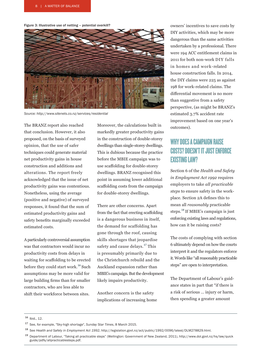Figure 3: Illustrative use of netting – potential overkill?



*Source: http://www.sitenets.co.nz/services/residential*

The BRANZ report also reached that conclusion. However, it also proposed, on the basis of surveyed opinion, that the use of safer techniques could generate material net productivity gains in house construction and additions and alterations. The report freely acknowledged that the issue of net productivity gains was contentious. Nonetheless, using the average (positive and negative) of surveyed responses, it found that the sum of estimated productivity gains and safety benefits marginally exceeded estimated costs.

A particularly controversial assumption was that contractors would incur no productivity costs from delays in waiting for scaffolding to be erected before they could start work.<sup>16</sup> Such assumptions may be more valid for large building firms than for smaller contractors, who are less able to shift their workforce between sites.

Moreover, the calculations built in markedly greater productivity gains in the construction of double-storey dwellings than single-storey dwellings. This is dubious because the practice before the MBIE campaign was to use scaffolding for double-storey dwellings. BRANZ recognised this point in assuming lower additional scaffolding costs from the campaign for double-storey dwellings.

There are other concerns. Apart from the fact that erecting scaffolding is a dangerous business in itself, the demand for scaffolding has gone through the roof, causing skills shortages that jeopardise safety and cause delays.<sup>17</sup> This is presumably primarily due to the Christchurch rebuild and the Auckland expansion rather than MBIE's campaign. But the development likely impairs productivity.

Another concern is the safety implications of increasing home owners' incentives to save costs by DIY activities, which may be more dangerous than the same activities undertaken by a professional. There were 194 ACC entitlement claims in 2011 for both non-work DIY falls in homes and work-related house construction falls. In 2014, the DIY claims were 225 as against 198 for work-related claims. The differential movement is no more than suggestive from a safety perspective, (as might be BRANZ's estimated 3.7% accident rate improvement based on one year's outcomes).

### WHY DOES A CAMPAIGN RAISE COSTS? DOESN'T IT JUST ENFORCE EXISTING LAW?

Section 6 of the *Health and Safety in Employment Act 1992* requires employers to take *all practicable steps* to ensure safety in the workplace. Section 2A defines this to mean all *reasonably* practicable steps.18 If MBIE's campaign is just enforcing existing laws and regulations, how can it be raising costs?

The costs of complying with section 6 ultimately depend on how the courts interpret it and the regulators enforce it. Words like "all reasonably practicable steps" are open to interpretation.

The Department of Labour's guidance states in part that "if there is a risk of serious … injury or harm, then spending a greater amount

<sup>16</sup> Ibid., 12.

<sup>17</sup> See, for example, "Sky-high shortage", *Sunday Star Times*, 8 March 2015.

<sup>18</sup> See *Health and Safety in Employment Act 1992*, http://legislation.govt.nz/act/public/1992/0096/latest/DLM278829.html.

<sup>19</sup> Department of Labour, "Taking all practicable steps" (Wellington: Government of New Zealand, 2011), http://www.dol.govt.nz/hs/law/quick guide/pdfs/allpracticablesteps.pdf.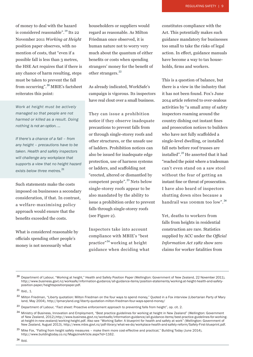of money to deal with the hazard is considered reasonable".19 Its 22 November 2011 *Working at Height*  position paper observes, with no mention of costs, that "even if a possible fall is less than 3 metres, the HSE Act requires that if there is any chance of harm resulting, steps must be taken to prevent the fall from occurring".20 MBIE's factsheet reiterates this point:

*Work at height must be actively managed so that people are not harmed or killed as a result. Doing nothing is not an option. …*

*If there's a chance of a fall – from any height – precautions have to be taken. Health and safety inspectors will challenge any workplace that supports a view that no height hazard exists below three metres.*21

Such statements make the costs imposed on businesses a secondary consideration, if that. In contrast, a welfare-maximising policy approach would ensure that the benefits exceeded the costs.

What is considered reasonable by officials spending other people's money is not necessarily what

householders or suppliers would regard as reasonable. As Milton Friedman once observed, it is human nature not to worry very much about the quantum of either benefits or costs when spending strangers' money for the benefit of other strangers.<sup>22</sup>

As already indicated, WorkSafe's campaign is vigorous. Its inspectors have real clout over a small business.

They can issue a prohibition notice if they observe inadequate precautions to prevent falls from or through single-storey roofs and other structures, or the unsafe use of ladders. Prohibition notices can also be issued for inadequate edge protection, use of harness systems or ladders, and scaffolding not "erected, altered or dismantled by competent people".<sup>23</sup> Nets below single-storey roofs appear to be also mandated by the ability to issue a prohibition order to prevent falls through single-storey roofs (see Figure 2).

Inspectors take into account compliance with MBIE's "best practice"24 working at height guidance when deciding what constitutes compliance with the Act. This potentially makes such guidance mandatory for businesses too small to take the risks of legal action. In effect, guidance manuals have become a way to tax households, firms and workers.

This is a question of balance, but there is a view in the industry that it has not been found. Fox's June 2014 article referred to over-zealous activities by "a small army of safety inspectors roaming around the country dishing out instant fines and prosecution notices to builders who have not fully scaffolded a single-level dwelling, or installed fall nets before roof trusses are installed".25 He asserted that it had "reached the point where a tradesman can't even stand on a saw stool without the fear of getting an instant fine or threat of prosecution. I have also heard of inspectors shutting down sites because a handrail was 100mm too low".26

Yet, deaths to workers from falls from heights in residential construction are rare. Statistics supplied by ACC under the *Official Information Act 1982* show zero claims for worker fatalities from

 $21$  Ibid., 1.

<sup>&</sup>lt;sup>20</sup> Department of Labour, "Working at height," Health and Safety Position Paper (Wellington: Government of New Zealand, 22 November 2011), http://www.business.govt.nz/worksafe/information-guidance/all-guidance-items/position-statements/working-at-height-health-and-safety position-paper/heightspositionpaper.pdf.

<sup>&</sup>lt;sup>22</sup> Milton Friedman, "Liberty quotation: Milton Friedman on the four ways to spend money," Quoted in a Fox interview (Libertarian Party of Mary land, May 2004), http://lpmaryland.org/liberty-quotation-milton-friedman-four-ways-spend-money/

<sup>&</sup>lt;sup>23</sup> Department of Labour, "Fact sheet: Proactive enforcement approach to preventing falls from height", op. cit. 2.

<sup>&</sup>lt;sup>24</sup> Ministry of Business, Innovation and Employment, "Best practice guidelines for working at height in New Zealand" (Wellington: Government of New Zealand, 2012),http://www.business.govt.nz/worksafe/information-guidance/all-guidance-items/best-practice-guidelines-for-workingat-height-in-new-zealand/working-height.pdf. Also see "Working Safer: A blueprint for health and safety at work" (Wellington: Government of New Zealand, August 2013), http://www.mbie.govt.nz/pdf-library/what-we-do/workplace-health-and-safety-reform/Safety-First-blueprint.pdf.

<sup>&</sup>lt;sup>25</sup> Mike Fox, "Falling from height safety measures - make them more cost-effective and practical," Building Today (June 2014), http://www.buildingtoday.co.nz/MagazineArticle.aspx?id=1162.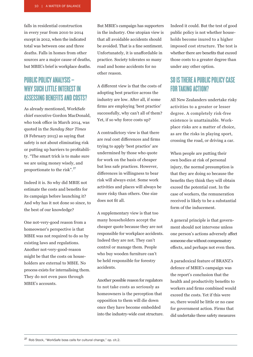falls in residential construction in every year from 2010 to 2014 except in 2012, when the indicated total was between one and three deaths. Falls in homes from other sources are a major cause of deaths, but MBIE's brief is workplace deaths.

### PUBLIC POLICY ANALYSIS – WHY SUCH LITTLE INTEREST IN ASSESSING BENEFITS AND COSTS?

As already mentioned, WorkSafe chief executive Gordon MacDonald, who took office in March 2014, was quoted in the *Sunday Star Times*  (8 February 2015) as saying that safety is not about eliminating risk or putting up barriers to profitability. "The smart trick is to make sure we are using money wisely, and proportionate to the risk".27

Indeed it is. So why did MBIE not estimate the costs and benefits for its campaign before launching it? And why has it not done so since, to the best of our knowledge?

One not-very-good reason from a homeowner's perspective is that MBIE was not required to do so by existing laws and regulations. Another not-very-good-reason might be that the costs on householders are external to MBIE. No process exists for internalising them. They do not even pass through MBIE's accounts.

But MBIE's campaign has supporters in the industry. One utopian view is that all avoidable accidents should be avoided. That is a fine sentiment. Unfortunately, it is unaffordable in practice. Society tolerates so many road and home accidents for no other reason.

A different view is that the costs of adopting best practice across the industry are low. After all, if some firms are employing 'best practice' successfully, why can't all of them? Yet, if so why force costs up?

A contradictory view is that there are real cost differences and firms trying to apply 'best practice' are undermined by those who quote for work on the basis of cheaper but less safe practices. However, differences in willingness to bear risk will always exist. Some work activities and places will always be more risky than others. One size does not fit all.

A supplementary view is that too many householders accept the cheaper quote because they are not responsible for workplace accidents. Indeed they are not. They can't control or manage them. People who buy wooden furniture can't be held responsible for forestry accidents.

Another possible reason for regulators to not take costs as seriously as homeowners is the perception that opposition to them will die down once they have become embedded into the industry-wide cost structure. Indeed it could. But the test of good public policy is not whether households become inured to a higher imposed cost structure. The test is whether there are benefits that exceed those costs to a greater degree than under any other option.

#### SO IS THERE A PUBLIC POLICY CASE FOR TAKING ACTION?

All New Zealanders undertake risky activities to a greater or lesser degree. A completely risk-free existence is unattainable. Workplace risks are a matter of choice, as are the risks in playing sport, crossing the road, or driving a car.

When people are putting their own bodies at risk of personal injury, the normal presumption is that they are doing so because the benefits they think they will obtain exceed the potential cost. In the case of workers, the remuneration received is likely to be a substantial form of the inducement.

A general principle is that government should not intervene unless one person's actions adversely affect someone else without compensatory effects, and perhaps not even then.

A paradoxical feature of BRANZ's defence of MBIE's campaign was the report's conclusion that the health and productivity benefits to workers and firms combined would exceed the costs. Yet if this were so, there would be little or no case for government action. Firms that did undertake these safety measures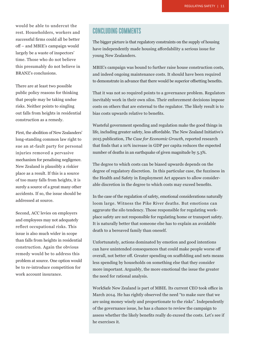would be able to undercut the rest. Householders, workers and successful firms could all be better off – and MBIE's campaign would largely be a waste of inspectors' time. Those who do not believe this presumably do not believe in BRANZ's conclusions.

There are at least two possible public policy reasons for thinking that people may be taking undue risks. Neither points to singling out falls from heights in residential construction as a remedy.

First, the abolition of New Zealanders' long-standing common law right to sue an at-fault party for personal injuries removed a pervasive mechanism for penalising negligence. New Zealand is plausibly a riskier place as a result. If this is a source of too many falls from heights, it is surely a source of a great many other accidents. If so, the issue should be addressed at source.

Second, ACC levies on employers and employees may not adequately reflect occupational risks. This issue is also much wider in scope than falls from heights in residential construction. Again the obvious remedy would be to address this problem at source. One option would be to re-introduce competition for work account insurance.

#### CONCLUDING COMMENTS

The bigger picture is that regulatory constraints on the supply of housing have independently made housing affordability a serious issue for young New Zealanders.

MBIE's campaign was bound to further raise house construction costs, and indeed ongoing maintenance costs. It should have been required to demonstrate in advance that there would be superior offsetting benefits.

That it was not so required points to a governance problem. Regulators inevitably work in their own silos. Their enforcement decisions impose costs on others that are external to the regulator. The likely result is to bias costs upwards relative to benefits.

Wasteful government spending and regulation make the good things in life, including greater safety, less affordable. The New Zealand Initiative's 2015 publication, *The Case for Economic Growth*, reported research that finds that a 10% increase in GDP per capita reduces the expected number of deaths in an earthquake of given magnitude by 5.3%.

The degree to which costs can be biased upwards depends on the degree of regulatory discretion. In this particular case, the fuzziness in the Health and Safety in Employment Act appears to allow considerable discretion in the degree to which costs may exceed benefits.

In the case of the regulation of safety, emotional considerations naturally loom large. Witness the Pike River deaths. But emotions can aggravate the silo tendency. Those responsible for regulating workplace safety are not responsible for regulating home or transport safety. It is naturally better that someone else has to explain an avoidable death to a bereaved family than oneself.

Unfortunately, actions dominated by emotion and good intentions can have unintended consequences that could make people worse off overall, not better off. Greater spending on scaffolding and nets means less spending by households on something else that they consider more important. Arguably, the more emotional the issue the greater the need for rational analysis.

WorkSafe New Zealand is part of MBIE. Its current CEO took office in March 2014. He has rightly observed the need "to make sure that we are using money wisely and proportionate to the risks". Independently of the governance issue, he has a chance to review the campaign to assess whether the likely benefits really do exceed the costs. Let's see if he exercises it.